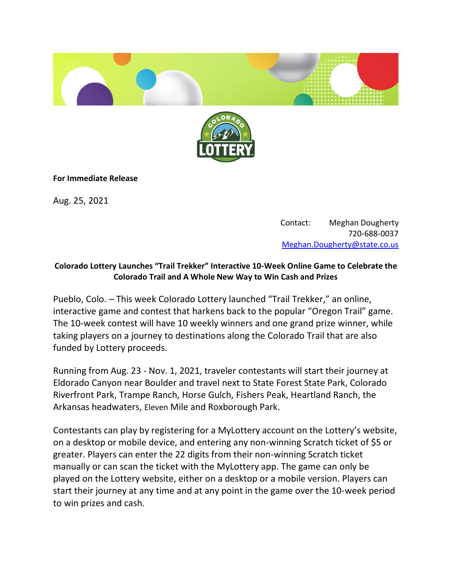



## **For Immediate Release**

Aug. 25, 2021

Contact: Meghan Dougherty 720-688-0037  [Meghan.Dougherty@state.co.us](mailto:Meghan.Dougherty@state.co.us)

## **Colorado Lottery Launches "Trail Trekker" Interactive 10-Week Online Game to Celebrate the Colorado Trail and A Whole New Way to Win Cash and Prizes**

Pueblo, Colo. – This week Colorado Lottery launched "Trail Trekker," an online, interactive game and contest that harkens back to the popular "Oregon Trail" game. The 10-week contest will have 10 weekly winners and one grand prize winner, while taking players on a journey to destinations along the Colorado Trail that are also funded by Lottery proceeds.

Running from Aug. 23 - Nov. 1, 2021, traveler contestants will start their journey at Eldorado Canyon near Boulder and travel next to State Forest State Park, Colorado Riverfront Park, Trampe Ranch, Horse Gulch, Fishers Peak, Heartland Ranch, the Arkansas headwaters, Eleven Mile and Roxborough Park.

Contestants can play by registering for a MyLottery account on the Lottery's website, on a desktop or mobile device, and entering any non-winning Scratch ticket of \$5 or greater. Players can enter the 22 digits from their non-winning Scratch ticket manually or can scan the ticket with the MyLottery app. The game can only be played on the Lottery website, either on a desktop or a mobile version. Players can start their journey at any time and at any point in the game over the 10-week period to win prizes and cash.